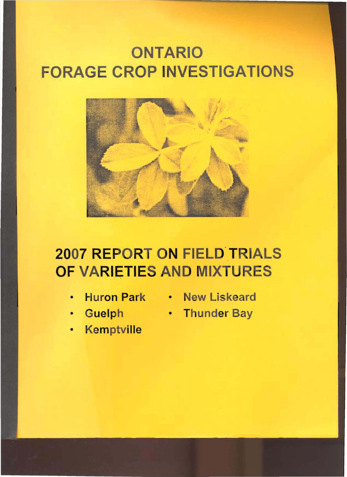# ONTARIO **FORAGE CROP INVESTIGATIONS**



# 2007 REPORT ON FIELD TRIALS OF VARIETIE

- 
- 
- Kemptville
- Huron Park New Liskeard
- Guelph Thunder Bay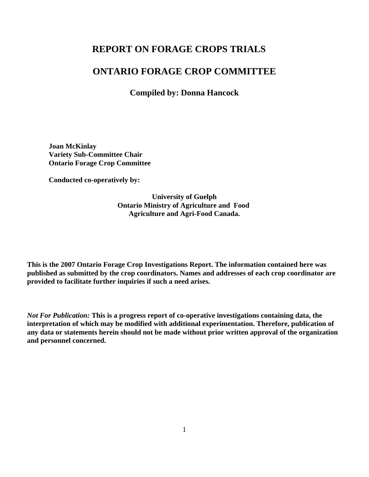## **REPORT ON FORAGE CROPS TRIALS**

### **ONTARIO FORAGE CROP COMMITTEE**

**Compiled by: Donna Hancock**

**Joan McKinlay Variety Sub-Committee Chair Ontario Forage Crop Committee**

**Conducted co-operatively by:**

**University of Guelph Ontario Ministry of Agriculture and Food Agriculture and Agri-Food Canada.**

**This is the 2007 Ontario Forage Crop Investigations Report. The information contained here was published as submitted by the crop coordinators. Names and addresses of each crop coordinator are provided to facilitate further inquiries if such a need arises.**

*Not For Publication:* **This is a progress report of co-operative investigations containing data, the interpretation of which may be modified with additional experimentation. Therefore, publication of any data or statements herein should not be made without prior written approval of the organization and personnel concerned.**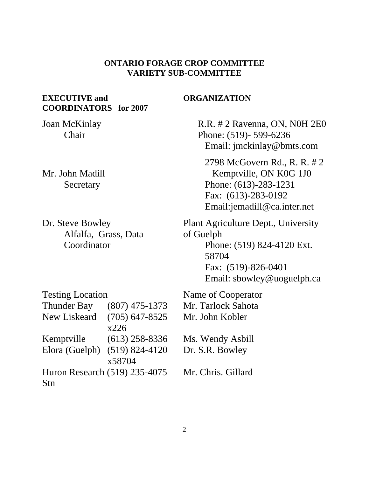#### **ONTARIO FORAGE CROP COMMITTEE VARIETY SUB-COMMITTEE**

### **EXECUTIVE and COORDINATORS for 2007**

Joan McKinlay Chair

Mr. John Madill Secretary

Dr. Steve Bowley Alfalfa, Grass, Data Coordinator

#### **ORGANIZATION**

 R.R. # 2 Ravenna, ON, N0H 2E0 Phone: (519)- 599-6236 Email: jmckinlay@bmts.com 2798 McGovern Rd., R. R. # 2

 Kemptville, ON K0G 1J0 Phone: (613)-283-1231 Fax: (613)-283-0192 Email:jemadill@ca.inter.net

Plant Agriculture Dept., University of Guelph Phone: (519) 824-4120 Ext. 58704 Fax: (519)-826-0401 Email: sbowley@uoguelph.ca

| <b>Testing Location</b>       |                    |
|-------------------------------|--------------------|
| <b>Thunder Bay</b>            | $(807)$ 475-1373   |
| <b>New Liskeard</b>           | $(705)$ 647-8525   |
|                               | x226               |
| Kemptville                    | $(613)$ 258-8336   |
| Elora (Guelph)                | $(519) 824 - 4120$ |
|                               | x58704             |
| Huron Research (519) 235-4075 |                    |
| Stn                           |                    |

Name of Cooperator Mr. Tarlock Sahota Mr. John Kobler Ms. Wendy Asbill Dr. S.R. Bowley Mr. Chris. Gillard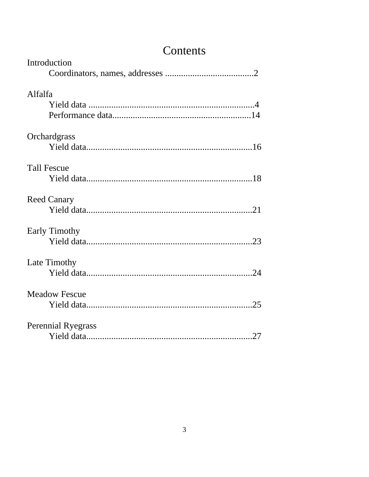| Introduction              |
|---------------------------|
| Alfalfa                   |
|                           |
| Orchardgrass              |
|                           |
| <b>Tall Fescue</b>        |
|                           |
| <b>Reed Canary</b>        |
|                           |
| <b>Early Timothy</b>      |
|                           |
| Late Timothy              |
|                           |
| <b>Meadow Fescue</b>      |
|                           |
| <b>Perennial Ryegrass</b> |
|                           |

# Contents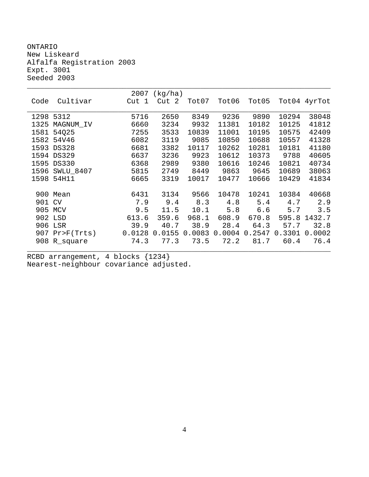ONTARIO New Liskeard Alfalfa Registration 2003 Expt. 3001 Seeded 2003

|      |                | 2007   | (kg/ha) |        |        |        |        |              |
|------|----------------|--------|---------|--------|--------|--------|--------|--------------|
| Code | Cultivar       | Cut 1  | Cut 2   | Tot07  | Tot06  | Tot05  |        | Tot04 4yrTot |
|      |                |        |         |        |        |        |        |              |
|      | 1298 5312      | 5716   | 2650    | 8349   | 9236   | 9890   | 10294  | 38048        |
| 1325 | MAGNUM IV      | 6660   | 3234    | 9932   | 11381  | 10182  | 10125  | 41812        |
| 1581 | 54025          | 7255   | 3533    | 10839  | 11001  | 10195  | 10575  | 42409        |
|      | 1582 54V46     | 6082   | 3119    | 9085   | 10850  | 10688  | 10557  | 41328        |
|      | 1593 DS328     | 6681   | 3382    | 10117  | 10262  | 10281  | 10181  | 41180        |
|      | 1594 DS329     | 6637   | 3236    | 9923   | 10612  | 10373  | 9788   | 40605        |
| 1595 | <b>DS330</b>   | 6368   | 2989    | 9380   | 10616  | 10246  | 10821  | 40734        |
| 1596 | SWLU_8407      | 5815   | 2749    | 8449   | 9863   | 9645   | 10689  | 38063        |
| 1598 | 54H11          | 6665   | 3319    | 10017  | 10477  | 10666  | 10429  | 41834        |
|      |                |        |         |        |        |        |        |              |
|      | 900 Mean       | 6431   | 3134    | 9566   | 10478  | 10241  | 10384  | 40668        |
| 901  | CV             | 7.9    | 9.4     | 8.3    | 4.8    | 5.4    | 4.7    | 2.9          |
|      | 905 MCV        | 9.5    | 11.5    | 10.1   | 5.8    | 6.6    | 5.7    | 3.5          |
|      | 902 LSD        | 613.6  | 359.6   | 968.1  | 608.9  | 670.8  | 595.8  | 1432.7       |
| 906  | LSR            | 39.9   | 40.7    | 38.9   | 28.4   | 64.3   | 57.7   | 32.8         |
|      | 907 Pr>F(Trts) | 0.0128 | 0.0155  | 0.0083 | 0.0004 | 0.2547 | 0.3301 | 0.0002       |
|      | 908 R_square   | 74.3   | 77.3    | 73.5   | 72.2   | 81.7   | 60.4   | 76.4         |
|      |                |        |         |        |        |        |        |              |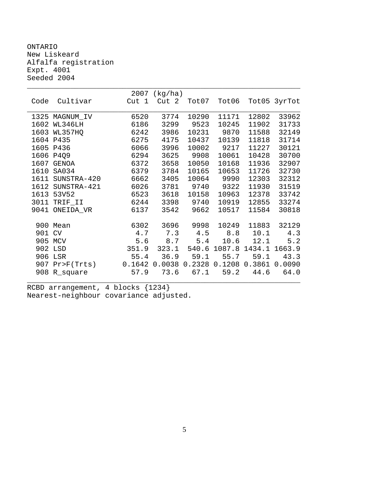ONTARIO New Liskeard Alfalfa registration Expt. 4001 Seeded 2004

|      |                | 2007   | (kg/ha)          |        |        |        |              |
|------|----------------|--------|------------------|--------|--------|--------|--------------|
| Code | Cultivar       | Cut 1  | Cut <sub>2</sub> | Tot07  | Tot06  |        | Tot05 3yrTot |
|      |                |        |                  |        |        |        |              |
| 1325 | MAGNUM_IV      | 6520   | 3774             | 10290  | 11171  | 12802  | 33962        |
| 1602 | WL346LH        | 6186   | 3299             | 9523   | 10245  | 11902  | 31733        |
| 1603 | WL357HQ        | 6242   | 3986             | 10231  | 9870   | 11588  | 32149        |
|      | 1604 P435      | 6275   | 4175             | 10437  | 10139  | 11818  | 31714        |
| 1605 | P436           | 6066   | 3996             | 10002  | 9217   | 11227  | 30121        |
| 1606 | P4Q9           | 6294   | 3625             | 9908   | 10061  | 10428  | 30700        |
| 1607 | <b>GENOA</b>   | 6372   | 3658             | 10050  | 10168  | 11936  | 32907        |
| 1610 | SA034          | 6379   | 3784             | 10165  | 10653  | 11726  | 32730        |
| 1611 | SUNSTRA-420    | 6662   | 3405             | 10064  | 9990   | 12303  | 32312        |
| 1612 | SUNSTRA-421    | 6026   | 3781             | 9740   | 9322   | 11930  | 31519        |
| 1613 | 53V52          | 6523   | 3618             | 10158  | 10963  | 12378  | 33742        |
| 3011 | TRIF_II        | 6244   | 3398             | 9740   | 10919  | 12855  | 33274        |
| 9041 | ONEIDA_VR      | 6137   | 3542             | 9662   | 10517  | 11584  | 30818        |
|      |                |        |                  |        |        |        |              |
|      | 900 Mean       | 6302   | 3696             | 9998   | 10249  | 11883  | 32129        |
| 901  | CV             | 4.7    | 7.3              | 4.5    | 8.8    | 10.1   | 4.3          |
| 905  | MCV            | 5.6    | 8.7              | 5.4    | 10.6   | 12.1   | 5.2          |
| 902  | LSD            | 351.9  | 323.1            | 540.6  | 1087.8 | 1434.1 | 1663.9       |
| 906  | LSR            | 55.4   | 36.9             | 59.1   | 55.7   | 59.1   | 43.3         |
| 907  | $Pr$ $F(Trts)$ | 0.1642 | 0.0038           | 0.2328 | 0.1208 | 0.3861 | 0.0090       |
| 908  | R_square       | 57.9   | 73.6             | 67.1   | 59.2   | 44.6   | 64.0         |
|      |                |        |                  |        |        |        |              |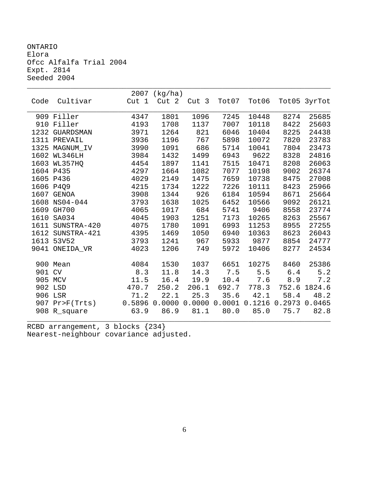ONTARIO Elora Ofcc Alfalfa Trial 2004 Expt. 2814 Seeded 2004

|        |                  |        | 2007 (kg/ha) |                  |        |        |        |              |
|--------|------------------|--------|--------------|------------------|--------|--------|--------|--------------|
| Code   | Cultivar         | Cut 1  | Cut 2        | Cut <sub>3</sub> | Tot07  | Tot06  |        | Tot05 3yrTot |
|        |                  |        |              |                  |        |        |        |              |
|        | 909 Filler       | 4347   | 1801         | 1096             | 7245   | 10448  | 8274   | 25685        |
|        | 910 Filler       | 4193   | 1708         | 1137             | 7007   | 10118  | 8422   | 25603        |
|        | 1232 GUARDSMAN   | 3971   | 1264         | 821              | 6046   | 10404  | 8225   | 24438        |
|        | 1311 PREVAIL     | 3936   | 1196         | 767              | 5898   | 10072  | 7820   | 23783        |
|        | 1325 MAGNUM IV   | 3990   | 1091         | 686              | 5714   | 10041  | 7804   | 23473        |
|        | 1602 WL346LH     | 3984   | 1432         | 1499             | 6943   | 9622   | 8328   | 24816        |
|        | 1603 WL357HO     | 4454   | 1897         | 1141             | 7515   | 10471  | 8208   | 26063        |
|        | 1604 P435        | 4297   | 1664         | 1082             | 7077   | 10198  | 9002   | 26374        |
|        | 1605 P436        | 4029   | 2149         | 1475             | 7659   | 10738  | 8475   | 27008        |
|        | 1606 P4Q9        | 4215   | 1734         | 1222             | 7226   | 10111  | 8423   | 25966        |
|        | 1607 GENOA       | 3908   | 1344         | 926              | 6184   | 10594  | 8671   | 25664        |
|        | 1608 NS04-044    | 3793   | 1638         | 1025             | 6452   | 10566  | 9092   | 26121        |
|        | 1609 GH700       | 4065   | 1017         | 684              | 5741   | 9406   | 8558   | 23774        |
| 1610   | SA034            | 4045   | 1903         | 1251             | 7173   | 10265  | 8263   | 25567        |
| 1611   | SUNSTRA-420      | 4075   | 1780         | 1091             | 6993   | 11253  | 8955   | 27255        |
|        | 1612 SUNSTRA-421 | 4395   | 1469         | 1050             | 6940   | 10363  | 8623   | 26043        |
|        | 1613 53V52       | 3793   | 1241         | 967              | 5933   | 9877   | 8854   | 24777        |
|        | 9041 ONEIDA VR   | 4023   | 1206         | 749              | 5972   | 10406  | 8277   | 24534        |
|        |                  |        |              |                  |        |        |        |              |
|        | 900 Mean         | 4084   | 1530         | 1037             | 6651   | 10275  | 8460   | 25386        |
| 901 CV |                  | 8.3    | 11.8         | 14.3             | 7.5    | 5.5    | $6.4$  | $5.2$        |
|        | 905 MCV          | 11.5   | 16.4         | 19.9             | 10.4   | 7.6    | 8.9    | 7.2          |
|        | 902 LSD          | 470.7  | 250.2        | 206.1            | 692.7  | 778.3  | 752.6  | 1824.6       |
|        | 906 LSR          | 71.2   | 22.1         | 25.3             | 35.6   | 42.1   | 58.4   | 48.2         |
|        | 907 Pr>F(Trts)   | 0.5896 | 0.0000       | 0.0000           | 0.0001 | 0.1216 | 0.2973 | 0.0465       |
|        | 908 R_square     | 63.9   | 86.9         | 81.1             | 80.0   | 85.0   | 75.7   | 82.8         |
|        |                  |        |              |                  |        |        |        |              |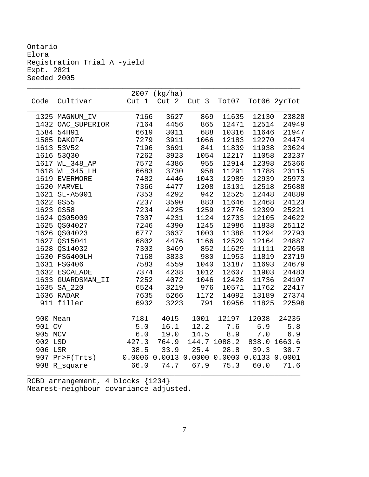Ontario Elora Registration Trial A -yield Expt. 2821 Seeded 2005

| Code<br>Cultivar<br>Cut <sub>1</sub><br>Cut 2<br>Cut 3<br>Tot07<br>Tot06 2yrTot<br>7166<br>3627<br>869<br>11635<br>12130<br>1325 MAGNUM_IV<br>7164<br>865<br>1432 OAC_SUPERIOR<br>4456<br>12471<br>12514<br>24949<br>688<br>1584 54H91<br>6619<br>3011<br>10316<br>11646<br>21947<br>7279<br>3911<br>1066<br>12183<br>12270<br>24474<br>1585 DAKOTA<br>1613 53V52<br>7196<br>3691<br>841<br>11839<br>11938<br>23624<br>1616 53Q30<br>7262<br>3923<br>1054<br>12217<br>11058<br>23237<br>955<br>1617 WL_348_AP<br>7572<br>4386<br>12914<br>12398<br>6683<br>3730<br>958<br>11291<br>11788<br>1618 WL_345_LH<br>1619 EVERMORE<br>7482<br>4446<br>1043<br>12989<br>12939<br>1620 MARVEL<br>7366<br>4477<br>1208<br>13101<br>12518<br>942<br>1621 SL-A5001<br>7353<br>4292<br>12525<br>12448<br>883<br>1622 GS55<br>7237<br>3590<br>11646<br>12468<br>1623 GS58<br>7234<br>4225<br>1259<br>12776<br>12399<br>1624 QS05009<br>7307<br>4231<br>1124<br>12703<br>12105<br>1625 QS04027<br>7246<br>4390<br>1245<br>12986<br>11838<br>1626 QS04023<br>6777<br>3637<br>1003<br>11388<br>11294<br>1627 OS15041<br>6802<br>4476<br>1166<br>12529<br>12164<br>1628 QS14032<br>3469<br>852<br>11629<br>7303<br>11111<br>980<br>1630 FSG400LH<br>7168<br>3833<br>11953<br>11819<br>1631 FSG406<br>7583<br>4559<br>1040<br>13187<br>11693<br>1632 ESCALADE<br>7374<br>4238<br>1012<br>12607<br>11903<br>7252<br>1633 GUARDSMAN_II<br>4072<br>1046<br>12428<br>11736<br>3219<br>1635 SA_220<br>6524<br>976<br>10571<br>11762<br>1636 RADAR<br>7635<br>5266<br>1172<br>14092<br>13189<br>911 filler<br>6932<br>3223<br>791<br>10956<br>11825<br>1001<br>24235<br>900 Mean<br>7181<br>4015<br>12197<br>12038<br>901 CV<br>16.1<br>12.2<br>7.6<br>5.9<br>5.0<br>5.8<br>8.9<br>905 MCV<br>$6.0\,$<br>19.0<br>14.5<br>7.0<br>6.9<br>838.0 1663.6<br>902 LSD<br>427.3<br>764.9<br>144.7 1088.2<br>906 LSR<br>38.5<br>33.9<br>25.4<br>28.8 39.3<br>30.7<br>0.0006 0.0013 0.0000 0.0000 0.0133 0.0001<br>907 Pr>F(Trts)<br>908 R_square<br>66.0<br>74.7<br>67.9<br>75.3<br>60.0<br>71.6 |  | $2007$ (kg/ha) |  |       |
|----------------------------------------------------------------------------------------------------------------------------------------------------------------------------------------------------------------------------------------------------------------------------------------------------------------------------------------------------------------------------------------------------------------------------------------------------------------------------------------------------------------------------------------------------------------------------------------------------------------------------------------------------------------------------------------------------------------------------------------------------------------------------------------------------------------------------------------------------------------------------------------------------------------------------------------------------------------------------------------------------------------------------------------------------------------------------------------------------------------------------------------------------------------------------------------------------------------------------------------------------------------------------------------------------------------------------------------------------------------------------------------------------------------------------------------------------------------------------------------------------------------------------------------------------------------------------------------------------------------------------------------------------------------------------------------------------------------------------------------------------------------------------------------------------------------------------------------------------------------------------------------------------------------------------------------------------------------------------------------------------------------------------------------------------------------|--|----------------|--|-------|
|                                                                                                                                                                                                                                                                                                                                                                                                                                                                                                                                                                                                                                                                                                                                                                                                                                                                                                                                                                                                                                                                                                                                                                                                                                                                                                                                                                                                                                                                                                                                                                                                                                                                                                                                                                                                                                                                                                                                                                                                                                                                |  |                |  |       |
|                                                                                                                                                                                                                                                                                                                                                                                                                                                                                                                                                                                                                                                                                                                                                                                                                                                                                                                                                                                                                                                                                                                                                                                                                                                                                                                                                                                                                                                                                                                                                                                                                                                                                                                                                                                                                                                                                                                                                                                                                                                                |  |                |  | 23828 |
|                                                                                                                                                                                                                                                                                                                                                                                                                                                                                                                                                                                                                                                                                                                                                                                                                                                                                                                                                                                                                                                                                                                                                                                                                                                                                                                                                                                                                                                                                                                                                                                                                                                                                                                                                                                                                                                                                                                                                                                                                                                                |  |                |  |       |
|                                                                                                                                                                                                                                                                                                                                                                                                                                                                                                                                                                                                                                                                                                                                                                                                                                                                                                                                                                                                                                                                                                                                                                                                                                                                                                                                                                                                                                                                                                                                                                                                                                                                                                                                                                                                                                                                                                                                                                                                                                                                |  |                |  |       |
|                                                                                                                                                                                                                                                                                                                                                                                                                                                                                                                                                                                                                                                                                                                                                                                                                                                                                                                                                                                                                                                                                                                                                                                                                                                                                                                                                                                                                                                                                                                                                                                                                                                                                                                                                                                                                                                                                                                                                                                                                                                                |  |                |  |       |
|                                                                                                                                                                                                                                                                                                                                                                                                                                                                                                                                                                                                                                                                                                                                                                                                                                                                                                                                                                                                                                                                                                                                                                                                                                                                                                                                                                                                                                                                                                                                                                                                                                                                                                                                                                                                                                                                                                                                                                                                                                                                |  |                |  |       |
|                                                                                                                                                                                                                                                                                                                                                                                                                                                                                                                                                                                                                                                                                                                                                                                                                                                                                                                                                                                                                                                                                                                                                                                                                                                                                                                                                                                                                                                                                                                                                                                                                                                                                                                                                                                                                                                                                                                                                                                                                                                                |  |                |  |       |
|                                                                                                                                                                                                                                                                                                                                                                                                                                                                                                                                                                                                                                                                                                                                                                                                                                                                                                                                                                                                                                                                                                                                                                                                                                                                                                                                                                                                                                                                                                                                                                                                                                                                                                                                                                                                                                                                                                                                                                                                                                                                |  |                |  | 25366 |
|                                                                                                                                                                                                                                                                                                                                                                                                                                                                                                                                                                                                                                                                                                                                                                                                                                                                                                                                                                                                                                                                                                                                                                                                                                                                                                                                                                                                                                                                                                                                                                                                                                                                                                                                                                                                                                                                                                                                                                                                                                                                |  |                |  | 23115 |
|                                                                                                                                                                                                                                                                                                                                                                                                                                                                                                                                                                                                                                                                                                                                                                                                                                                                                                                                                                                                                                                                                                                                                                                                                                                                                                                                                                                                                                                                                                                                                                                                                                                                                                                                                                                                                                                                                                                                                                                                                                                                |  |                |  | 25973 |
|                                                                                                                                                                                                                                                                                                                                                                                                                                                                                                                                                                                                                                                                                                                                                                                                                                                                                                                                                                                                                                                                                                                                                                                                                                                                                                                                                                                                                                                                                                                                                                                                                                                                                                                                                                                                                                                                                                                                                                                                                                                                |  |                |  | 25688 |
|                                                                                                                                                                                                                                                                                                                                                                                                                                                                                                                                                                                                                                                                                                                                                                                                                                                                                                                                                                                                                                                                                                                                                                                                                                                                                                                                                                                                                                                                                                                                                                                                                                                                                                                                                                                                                                                                                                                                                                                                                                                                |  |                |  | 24889 |
|                                                                                                                                                                                                                                                                                                                                                                                                                                                                                                                                                                                                                                                                                                                                                                                                                                                                                                                                                                                                                                                                                                                                                                                                                                                                                                                                                                                                                                                                                                                                                                                                                                                                                                                                                                                                                                                                                                                                                                                                                                                                |  |                |  | 24123 |
|                                                                                                                                                                                                                                                                                                                                                                                                                                                                                                                                                                                                                                                                                                                                                                                                                                                                                                                                                                                                                                                                                                                                                                                                                                                                                                                                                                                                                                                                                                                                                                                                                                                                                                                                                                                                                                                                                                                                                                                                                                                                |  |                |  | 25221 |
|                                                                                                                                                                                                                                                                                                                                                                                                                                                                                                                                                                                                                                                                                                                                                                                                                                                                                                                                                                                                                                                                                                                                                                                                                                                                                                                                                                                                                                                                                                                                                                                                                                                                                                                                                                                                                                                                                                                                                                                                                                                                |  |                |  | 24622 |
|                                                                                                                                                                                                                                                                                                                                                                                                                                                                                                                                                                                                                                                                                                                                                                                                                                                                                                                                                                                                                                                                                                                                                                                                                                                                                                                                                                                                                                                                                                                                                                                                                                                                                                                                                                                                                                                                                                                                                                                                                                                                |  |                |  | 25112 |
|                                                                                                                                                                                                                                                                                                                                                                                                                                                                                                                                                                                                                                                                                                                                                                                                                                                                                                                                                                                                                                                                                                                                                                                                                                                                                                                                                                                                                                                                                                                                                                                                                                                                                                                                                                                                                                                                                                                                                                                                                                                                |  |                |  | 22793 |
|                                                                                                                                                                                                                                                                                                                                                                                                                                                                                                                                                                                                                                                                                                                                                                                                                                                                                                                                                                                                                                                                                                                                                                                                                                                                                                                                                                                                                                                                                                                                                                                                                                                                                                                                                                                                                                                                                                                                                                                                                                                                |  |                |  | 24887 |
|                                                                                                                                                                                                                                                                                                                                                                                                                                                                                                                                                                                                                                                                                                                                                                                                                                                                                                                                                                                                                                                                                                                                                                                                                                                                                                                                                                                                                                                                                                                                                                                                                                                                                                                                                                                                                                                                                                                                                                                                                                                                |  |                |  | 22658 |
|                                                                                                                                                                                                                                                                                                                                                                                                                                                                                                                                                                                                                                                                                                                                                                                                                                                                                                                                                                                                                                                                                                                                                                                                                                                                                                                                                                                                                                                                                                                                                                                                                                                                                                                                                                                                                                                                                                                                                                                                                                                                |  |                |  | 23719 |
|                                                                                                                                                                                                                                                                                                                                                                                                                                                                                                                                                                                                                                                                                                                                                                                                                                                                                                                                                                                                                                                                                                                                                                                                                                                                                                                                                                                                                                                                                                                                                                                                                                                                                                                                                                                                                                                                                                                                                                                                                                                                |  |                |  | 24679 |
|                                                                                                                                                                                                                                                                                                                                                                                                                                                                                                                                                                                                                                                                                                                                                                                                                                                                                                                                                                                                                                                                                                                                                                                                                                                                                                                                                                                                                                                                                                                                                                                                                                                                                                                                                                                                                                                                                                                                                                                                                                                                |  |                |  | 24483 |
|                                                                                                                                                                                                                                                                                                                                                                                                                                                                                                                                                                                                                                                                                                                                                                                                                                                                                                                                                                                                                                                                                                                                                                                                                                                                                                                                                                                                                                                                                                                                                                                                                                                                                                                                                                                                                                                                                                                                                                                                                                                                |  |                |  | 24107 |
|                                                                                                                                                                                                                                                                                                                                                                                                                                                                                                                                                                                                                                                                                                                                                                                                                                                                                                                                                                                                                                                                                                                                                                                                                                                                                                                                                                                                                                                                                                                                                                                                                                                                                                                                                                                                                                                                                                                                                                                                                                                                |  |                |  | 22417 |
|                                                                                                                                                                                                                                                                                                                                                                                                                                                                                                                                                                                                                                                                                                                                                                                                                                                                                                                                                                                                                                                                                                                                                                                                                                                                                                                                                                                                                                                                                                                                                                                                                                                                                                                                                                                                                                                                                                                                                                                                                                                                |  |                |  | 27374 |
|                                                                                                                                                                                                                                                                                                                                                                                                                                                                                                                                                                                                                                                                                                                                                                                                                                                                                                                                                                                                                                                                                                                                                                                                                                                                                                                                                                                                                                                                                                                                                                                                                                                                                                                                                                                                                                                                                                                                                                                                                                                                |  |                |  | 22598 |
|                                                                                                                                                                                                                                                                                                                                                                                                                                                                                                                                                                                                                                                                                                                                                                                                                                                                                                                                                                                                                                                                                                                                                                                                                                                                                                                                                                                                                                                                                                                                                                                                                                                                                                                                                                                                                                                                                                                                                                                                                                                                |  |                |  |       |
|                                                                                                                                                                                                                                                                                                                                                                                                                                                                                                                                                                                                                                                                                                                                                                                                                                                                                                                                                                                                                                                                                                                                                                                                                                                                                                                                                                                                                                                                                                                                                                                                                                                                                                                                                                                                                                                                                                                                                                                                                                                                |  |                |  |       |
|                                                                                                                                                                                                                                                                                                                                                                                                                                                                                                                                                                                                                                                                                                                                                                                                                                                                                                                                                                                                                                                                                                                                                                                                                                                                                                                                                                                                                                                                                                                                                                                                                                                                                                                                                                                                                                                                                                                                                                                                                                                                |  |                |  |       |
|                                                                                                                                                                                                                                                                                                                                                                                                                                                                                                                                                                                                                                                                                                                                                                                                                                                                                                                                                                                                                                                                                                                                                                                                                                                                                                                                                                                                                                                                                                                                                                                                                                                                                                                                                                                                                                                                                                                                                                                                                                                                |  |                |  |       |
|                                                                                                                                                                                                                                                                                                                                                                                                                                                                                                                                                                                                                                                                                                                                                                                                                                                                                                                                                                                                                                                                                                                                                                                                                                                                                                                                                                                                                                                                                                                                                                                                                                                                                                                                                                                                                                                                                                                                                                                                                                                                |  |                |  |       |
|                                                                                                                                                                                                                                                                                                                                                                                                                                                                                                                                                                                                                                                                                                                                                                                                                                                                                                                                                                                                                                                                                                                                                                                                                                                                                                                                                                                                                                                                                                                                                                                                                                                                                                                                                                                                                                                                                                                                                                                                                                                                |  |                |  |       |
|                                                                                                                                                                                                                                                                                                                                                                                                                                                                                                                                                                                                                                                                                                                                                                                                                                                                                                                                                                                                                                                                                                                                                                                                                                                                                                                                                                                                                                                                                                                                                                                                                                                                                                                                                                                                                                                                                                                                                                                                                                                                |  |                |  |       |

\_\_\_\_\_\_\_\_\_\_\_\_\_\_\_\_\_\_\_\_\_\_\_\_\_\_\_\_\_\_\_\_\_\_\_\_\_\_\_\_\_\_\_\_\_\_\_\_\_\_\_\_\_\_\_\_\_\_\_\_\_\_\_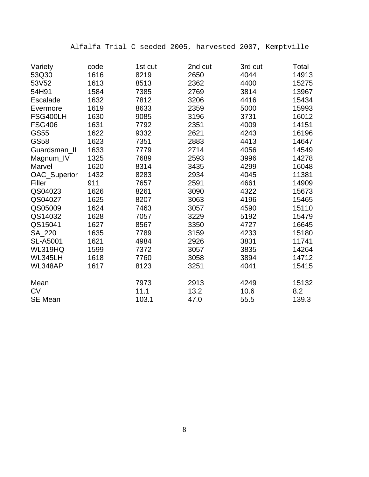Alfalfa Trial C seeded 2005, harvested 2007, Kemptville

| Variety         | code | 1st cut | 2nd cut | 3rd cut | Total |
|-----------------|------|---------|---------|---------|-------|
| 53Q30           | 1616 | 8219    | 2650    | 4044    | 14913 |
| 53V52           | 1613 | 8513    | 2362    | 4400    | 15275 |
| 54H91           | 1584 | 7385    | 2769    | 3814    | 13967 |
| <b>Escalade</b> | 1632 | 7812    | 3206    | 4416    | 15434 |
| Evermore        | 1619 | 8633    | 2359    | 5000    | 15993 |
| FSG400LH        | 1630 | 9085    | 3196    | 3731    | 16012 |
| <b>FSG406</b>   | 1631 | 7792    | 2351    | 4009    | 14151 |
| <b>GS55</b>     | 1622 | 9332    | 2621    | 4243    | 16196 |
| <b>GS58</b>     | 1623 | 7351    | 2883    | 4413    | 14647 |
| Guardsman_II    | 1633 | 7779    | 2714    | 4056    | 14549 |
| Magnum_IV       | 1325 | 7689    | 2593    | 3996    | 14278 |
| Marvel          | 1620 | 8314    | 3435    | 4299    | 16048 |
| OAC_Superior    | 1432 | 8283    | 2934    | 4045    | 11381 |
| Filler          | 911  | 7657    | 2591    | 4661    | 14909 |
| QS04023         | 1626 | 8261    | 3090    | 4322    | 15673 |
| QS04027         | 1625 | 8207    | 3063    | 4196    | 15465 |
| QS05009         | 1624 | 7463    | 3057    | 4590    | 15110 |
| QS14032         | 1628 | 7057    | 3229    | 5192    | 15479 |
| QS15041         | 1627 | 8567    | 3350    | 4727    | 16645 |
| SA_220          | 1635 | 7789    | 3159    | 4233    | 15180 |
| <b>SL-A5001</b> | 1621 | 4984    | 2926    | 3831    | 11741 |
| WL319HQ         | 1599 | 7372    | 3057    | 3835    | 14264 |
| WL345LH         | 1618 | 7760    | 3058    | 3894    | 14712 |
| WL348AP         | 1617 | 8123    | 3251    | 4041    | 15415 |
| Mean            |      | 7973    | 2913    | 4249    | 15132 |
| <b>CV</b>       |      | 11.1    | 13.2    | 10.6    | 8.2   |
| <b>SE Mean</b>  |      | 103.1   | 47.0    | 55.5    | 139.3 |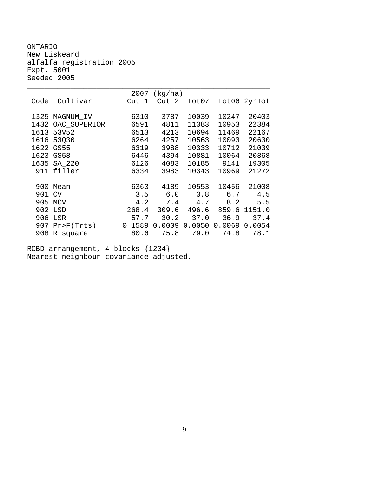ONTARIO New Liskeard alfalfa registration 2005 Expt. 5001 Seeded 2005

|        |                              |       | $2007$ (kg/ha) |       |                          |         |
|--------|------------------------------|-------|----------------|-------|--------------------------|---------|
|        | Code Cultivar                | Cut 1 | Cut 2          |       | Tot07 Tot06 2yrTot       |         |
|        |                              |       |                |       |                          |         |
|        | 1325 MAGNUM_IV               | 6310  | 3787           | 10039 | 10247                    | 20403   |
|        | 1432 OAC_SUPERIOR            | 6591  | 4811           | 11383 | 10953                    | 22384   |
| 1613   | 53V52                        | 6513  | 4213           | 10694 | 11469                    | 22167   |
|        | 1616 53Q30                   | 6264  | 4257           | 10563 | 10093                    | 20630   |
|        | 1622 GS55                    | 6319  | 3988           | 10333 | 10712                    | 21039   |
|        | 1623 GS58                    | 6446  | 4394           | 10881 | 10064                    | 20868   |
| 1635   | SA_220                       | 6126  | 4083           |       | 10185 9141               | 19305   |
|        | 911 filler                   | 6334  | 3983           | 10343 | 10969                    | 21272   |
|        |                              |       |                |       |                          |         |
|        | 900 Mean                     |       | 6363 4189      | 10553 | 10456                    | 21008   |
| 901 CV |                              |       | $3.5 \t 6.0$   |       | $3.8$ 6.7                | 4.5     |
| 905    | MCV                          | 4.2   | 7.4            | 4.7   |                          | 8.2 5.5 |
|        | 902 LSD                      | 268.4 |                |       | 309.6 496.6 859.6 1151.0 |         |
| 906    | LSR                          | 57.7  | 30.2           | 37.0  | 36.9                     | 37.4    |
|        | 907 Pr>F(Trts) 0.1589 0.0009 |       |                |       | 0.0050 0.0069 0.0054     |         |
|        | 908 R_square                 | 80.6  | 75.8           | 79.0  | 74.8                     | 78.1    |
|        |                              |       |                |       |                          |         |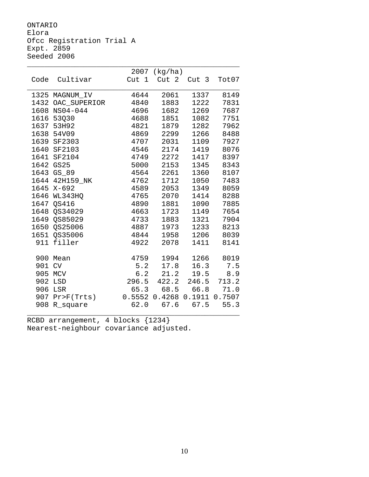ONTARIO Elora Ofcc Registration Trial A Expt. 2859 Seeded 2006

|        |                   | 2007   | (kg/ha)           |       |        |
|--------|-------------------|--------|-------------------|-------|--------|
| Code   | Cultivar          | Cut 1  | Cut 2             | Cut 3 | Tot07  |
|        |                   |        |                   |       |        |
|        | 1325 MAGNUM_IV    | 4644   | 2061              | 1337  | 8149   |
|        | 1432 OAC_SUPERIOR | 4840   | 1883              | 1222  | 7831   |
| 1608   | NS04-044          | 4696   | 1682              | 1269  | 7687   |
|        | 1616 53Q30        | 4688   | 1851              | 1082  | 7751   |
|        | 1637 53H92        | 4821   | 1879              | 1282  | 7962   |
|        | 1638 54V09        | 4869   | 2299              | 1266  | 8488   |
|        | 1639 SF2303       | 4707   | 2031              | 1109  | 7927   |
|        | 1640 SF2103       | 4546   | 2174              | 1419  | 8076   |
|        | 1641 SF2104       | 4749   | 2272              | 1417  | 8397   |
| 1642   | <b>GS25</b>       | 5000   | 2153              | 1345  | 8343   |
|        | 1643 GS_89        | 4564   | 2261              | 1360  | 8107   |
|        | 1644 42H159_NK    | 4762   | 1712              | 1050  | 7483   |
|        | 1645 X-692        | 4589   | 2053              | 1349  | 8059   |
|        | 1646 WL343HQ      | 4765   | 2070              | 1414  | 8288   |
|        | 1647 OS416        | 4890   | 1881              | 1090  | 7885   |
|        | 1648 OS34029      | 4663   | 1723              | 1149  | 7654   |
|        | 1649 QS85029      | 4733   | 1883              | 1321  | 7904   |
|        | 1650 QS25006      | 4887   | 1973              | 1233  | 8213   |
|        | 1651 QS35006      | 4844   | 1958              | 1206  | 8039   |
|        | 911 filler        | 4922   | 2078              | 1411  | 8141   |
|        |                   |        |                   |       |        |
|        | 900 Mean          | 4759   | 1994              | 1266  | 8019   |
| 901 CV |                   | 5.2    | 17.8              | 16.3  | 7.5    |
| 905    | MCV               | 6.2    | 21.2              | 19.5  | 8.9    |
| 902    | LSD               | 296.5  | 422.2             | 246.5 | 713.2  |
| 906    | LSR               | 65.3   | 68.5              | 66.8  | 71.0   |
|        | 907 Pr>F(Trts)    | 0.5552 | $0.4268$ $0.1911$ |       | 0.7507 |
| 908    | R_square          | 62.0   | 67.6              | 67.5  | 55.3   |
|        |                   |        |                   |       |        |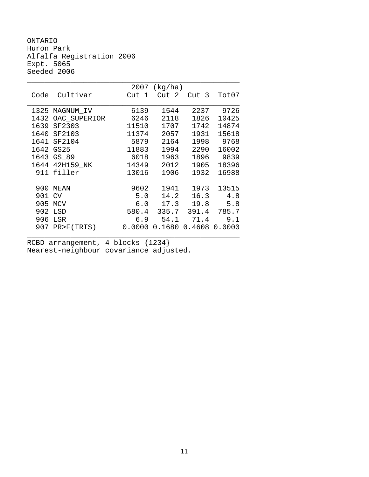ONTARIO Huron Park Alfalfa Registration 2006 Expt. 5065 Seeded 2006

|      |                | 2007  | (kg/ha)           |        |        |
|------|----------------|-------|-------------------|--------|--------|
| Code | Cultivar       | Cut 1 | Cut 2             | Cut 3  | Tot07  |
|      |                |       |                   |        |        |
| 1325 | MAGNUM_IV      | 6139  | 1544              | 2237   | 9726   |
| 1432 | OAC_SUPERIOR   | 6246  | 2118              | 1826   | 10425  |
|      | 1639 SF2303    | 11510 | 1707              | 1742   | 14874  |
| 1640 | SF2103         | 11374 | 2057              | 1931   | 15618  |
|      | 1641 SF2104    | 5879  | 2164              | 1998   | 9768   |
|      | 1642 GS25      | 11883 | 1994              | 2290   | 16002  |
| 1643 | $GS_89$        | 6018  | 1963              | 1896   | 9839   |
|      | 1644 42H159 NK | 14349 | 2012              | 1905   | 18396  |
|      | 911 filler     | 13016 | 1906              | 1932   | 16988  |
|      |                |       |                   |        |        |
| 900  | MEAN           | 9602  | 1941              | 1973   | 13515  |
| 901  | <b>CV</b>      | 5.0   | 14.2              | 16.3   | 4.8    |
| 905  | MCV            | 6.0   | 17.3              | 19.8   | 5.8    |
| 902  | LSD            | 580.4 | 335.7             | 391.4  | 785.7  |
| 906  | LSR            | 6.9   | 54.1              | 71.4   | 9.1    |
|      | 907 PR>F(TRTS) |       | $0.0000$ $0.1680$ | 0.4608 | 0.0000 |
|      |                |       |                   |        |        |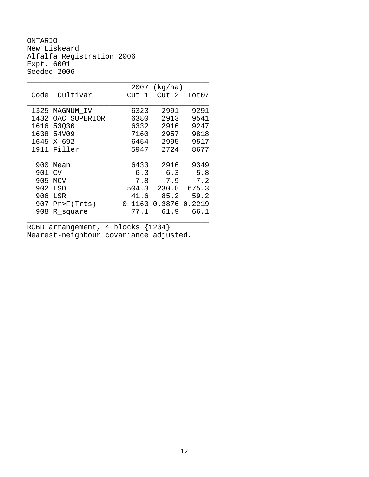ONTARIO New Liskeard Alfalfa Registration 2006 Expt. 6001 Seeded 2006

|      |                | 2007       | (kg/ha) |        |
|------|----------------|------------|---------|--------|
| Code | Cultivar       | Cut<br>- 1 | Cut 2   | Tot07  |
|      |                |            |         |        |
| 1325 | MAGNUM IV      | 6323       | 2991    | 9291   |
| 1432 | OAC SUPERIOR   | 6380       | 2913    | 9541   |
| 1616 | 53030          | 6332       | 2916    | 9247   |
| 1638 | 54V09          | 7160       | 2957    | 9818   |
|      | 1645 X-692     | 6454       | 2995    | 9517   |
| 1911 | Filler         | 5947       | 2724    | 8677   |
|      |                |            |         |        |
| 900  | Mean           | 6433       | 2916    | 9349   |
| 901  | CV             | 6.3        | 6.3     | 5.8    |
| 905  | MCV            | 7.8        | 7.9     | 7.2    |
| 902  | LSD            | 504.3      | 230.8   | 675.3  |
| 906  | LSR            | 41.6       | 85.2    | 59.2   |
| 907  | $Pr$ $F(Trts)$ | 0.1163     | 0.3876  | 0.2219 |
| 908  | R_square       | 77.1       | 61.9    | 66.1   |
|      |                |            |         |        |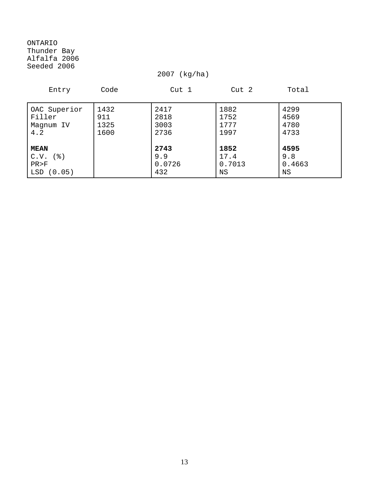ONTARIO Thunder Bay Alfalfa 2006 Seeded 2006

2007 (kg/ha)

| Entry                                                   | Code                        | Cut 1                        | Cut 2                        | Total                        |
|---------------------------------------------------------|-----------------------------|------------------------------|------------------------------|------------------------------|
| OAC Superior<br>Filler<br>Magnum IV<br>4.2              | 1432<br>911<br>1325<br>1600 | 2417<br>2818<br>3003<br>2736 | 1882<br>1752<br>1777<br>1997 | 4299<br>4569<br>4780<br>4733 |
| <b>MEAN</b><br>( 웅 )<br>C.V.<br>PR > F<br>LSD<br>(0.05) |                             | 2743<br>9.9<br>0.0726<br>432 | 1852<br>17.4<br>0.7013<br>ΝS | 4595<br>9.8<br>0.4663<br>ΝS  |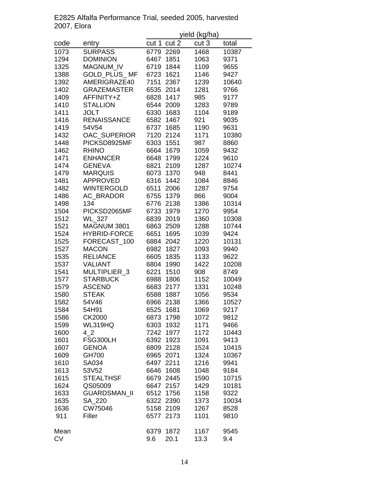|             | E2825 Alfalfa Performance Trial, seeded 2005, harvested |
|-------------|---------------------------------------------------------|
| 2007, Elora |                                                         |
|             | vield (ka/ha)                                           |

|           |                     |       |           | yielu (Ny/Tia) |       |
|-----------|---------------------|-------|-----------|----------------|-------|
| code      | entry               | cut 1 | cut 2     | cut 3          | total |
| 1073      | <b>SURPASS</b>      | 6779  | 2269      | 1468           | 10387 |
| 1294      | <b>DOMINION</b>     | 6467  | 1851      | 1063           | 9371  |
| 1325      | <b>MAGNUM IV</b>    | 6719  | 1844      | 1109           | 9655  |
| 1388      | <b>GOLD PLUS MF</b> | 6723  | 1621      | 1146           | 9427  |
| 1392      | AMERIGRAZE40        | 7151  | 2367      | 1239           | 10640 |
| 1402      | <b>GRAZEMASTER</b>  | 6535  | 2014      | 1281           | 9766  |
| 1409      | AFFINITY+Z          | 6828  | 1417      | 985            | 9177  |
| 1410      | <b>STALLION</b>     | 6544  | 2009      | 1283           | 9789  |
| 1411      | <b>JOLT</b>         | 6330  | 1683      | 1104           | 9189  |
| 1416      | <b>RENAISSANCE</b>  | 6582  | 1467      | 921            | 9035  |
| 1419      | 54V54               | 6737  | 1685      | 1190           | 9631  |
|           |                     |       | 2124      |                |       |
| 1432      | OAC_SUPERIOR        | 7120  |           | 1171           | 10380 |
| 1448      | PICKSD8925MF        | 6303  | 1551      | 987            | 8860  |
| 1462      | <b>RHINO</b>        | 6664  | 1679      | 1059           | 9432  |
| 1471      | <b>ENHANCER</b>     | 6648  | 1799      | 1224           | 9610  |
| 1474      | <b>GENEVA</b>       | 6821  | 2109      | 1287           | 10274 |
| 1479      | <b>MARQUIS</b>      | 6073  | 1370      | 948            | 8441  |
| 1481      | <b>APPROVED</b>     | 6316  | 1442      | 1084           | 8846  |
| 1482      | <b>WINTERGOLD</b>   | 6511  | 2006      | 1287           | 9754  |
| 1486      | AC_BRADOR           | 6755  | 1379      | 866            | 9004  |
| 1498      | 134                 | 6776  | 2138      | 1386           | 10314 |
| 1504      | PICKSD2065MF        | 6733  | 1979      | 1270           | 9954  |
| 1512      | <b>WL_327</b>       | 6839  | 2019      | 1360           | 10308 |
| 1521      | MAGNUM 3801         | 6863  | 2509      | 1288           | 10744 |
| 1524      | <b>HYBRID-FORCE</b> | 6651  | 1695      | 1039           | 9424  |
| 1525      | FORECAST_100        | 6884  | 2042      | 1220           | 10131 |
| 1527      | <b>MACON</b>        | 6982  | 1827      | 1093           | 9940  |
| 1535      | <b>RELIANCE</b>     | 6605  | 1835      | 1133           | 9622  |
| 1537      | <b>VALIANT</b>      | 6804  | 1990      | 1422           | 10208 |
| 1541      | MULTIPLIER_3        | 6221  | 1510      | 908            | 8749  |
| 1577      | <b>STARBUCK</b>     | 6988  | 1806      | 1152           | 10049 |
| 1579      | <b>ASCEND</b>       | 6683  | 2177      | 1331           | 10248 |
| 1580      | <b>STEAK</b>        | 6588  | 1887      | 1056           | 9534  |
| 1582      | 54V46               | 6966  | 2138      | 1366           | 10527 |
| 1584      | 54H91               | 6525  | 1681      | 1069           | 9217  |
| 1586      | CK2000              | 6873  | 1798      | 1072           | 9812  |
| 1599      | <b>WL319HQ</b>      | 6303  | 1932      | 1171           | 9466  |
| 1600      | 4 2                 | 7242  | 1977      | 1172           | 10443 |
| 1601      | FSG300LH            | 6392  | 1923      | 1091           | 9413  |
|           |                     |       |           |                |       |
| 1607      | <b>GENOA</b>        | 6809  | 2128      | 1524           | 10415 |
| 1609      | GH700               |       | 6965 2071 | 1324           | 10367 |
| 1610      | SA034               | 6497  | 2211      | 1216           | 9941  |
| 1613      | 53V52               | 6646  | 1608      | 1048           | 9184  |
| 1615      | <b>STEALTHSF</b>    |       | 6679 2445 | 1590           | 10715 |
| 1624      | QS05009             | 6647  | 2157      | 1429           | 10181 |
| 1633      | GUARDSMAN_II        | 6512  | 1756      | 1158           | 9322  |
| 1635      | SA_220              | 6322  | 2390      | 1373           | 10034 |
| 1636      | CW75046             | 5158  | 2109      | 1267           | 8528  |
| 911       | Filler              | 6577  | 2173      | 1101           | 9810  |
| Mean      |                     | 6379  | 1872      | 1167           | 9545  |
| <b>CV</b> |                     | 9.6   | 20.1      | 13.3           | 9.4   |
|           |                     |       |           |                |       |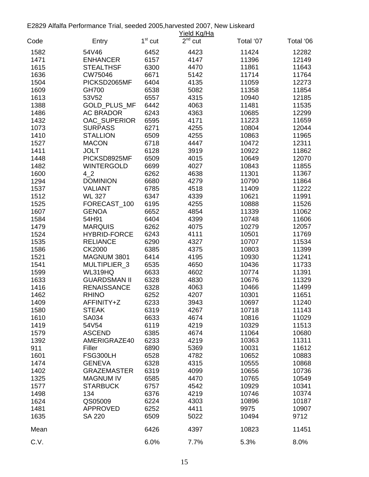E2829 Alfalfa Performance Trial, seeded 2005,harvested 2007, New Liskeard

|      |                     |           | Yield Kg/Ha  |           |           |
|------|---------------------|-----------|--------------|-----------|-----------|
| Code | Entry               | $1st$ cut | $2^{nd}$ cut | Total '07 | Total '06 |
| 1582 | 54V46               | 6452      | 4423         | 11424     | 12282     |
| 1471 | <b>ENHANCER</b>     | 6157      | 4147         | 11396     | 12149     |
| 1615 | <b>STEALTHSF</b>    | 6300      | 4470         | 11861     | 11643     |
| 1636 | CW75046             | 6671      | 5142         | 11714     | 11764     |
| 1504 | PICKSD2065MF        | 6404      | 4135         | 11059     | 12273     |
| 1609 | GH700               | 6538      | 5082         | 11358     | 11854     |
| 1613 | 53V52               | 6557      | 4315         | 10940     | 12185     |
| 1388 | GOLD_PLUS_MF        | 6442      | 4063         | 11481     | 11535     |
| 1486 | <b>AC BRADOR</b>    | 6243      | 4363         | 10685     | 12299     |
| 1432 | OAC_SUPERIOR        | 6595      | 4171         | 11223     | 11659     |
| 1073 | <b>SURPASS</b>      | 6271      | 4255         | 10804     | 12044     |
| 1410 | <b>STALLION</b>     | 6509      | 4255         | 10863     | 11965     |
| 1527 | <b>MACON</b>        | 6718      | 4447         | 10472     | 12311     |
| 1411 | <b>JOLT</b>         | 6128      | 3919         | 10922     | 11862     |
| 1448 | PICKSD8925MF        | 6509      | 4015         | 10649     | 12070     |
| 1482 | <b>WINTERGOLD</b>   | 6699      | 4027         | 10843     | 11855     |
| 1600 | 4 2                 | 6262      | 4638         | 11301     | 11367     |
| 1294 | <b>DOMINION</b>     | 6680      | 4279         | 10790     | 11864     |
| 1537 | <b>VALIANT</b>      | 6785      | 4518         | 11409     | 11222     |
| 1512 | <b>WL 327</b>       | 6347      | 4339         | 10621     | 11991     |
| 1525 | FORECAST_100        | 6195      | 4255         | 10888     | 11526     |
| 1607 | <b>GENOA</b>        | 6652      | 4854         | 11339     | 11062     |
| 1584 | 54H91               | 6404      | 4399         | 10748     | 11606     |
| 1479 | <b>MARQUIS</b>      | 6262      | 4075         | 10279     | 12057     |
| 1524 | <b>HYBRID-FORCE</b> | 6243      | 4111         | 10501     | 11769     |
| 1535 | <b>RELIANCE</b>     | 6290      | 4327         | 10707     | 11534     |
| 1586 | <b>CK2000</b>       | 6385      | 4375         | 10803     | 11399     |
| 1521 | MAGNUM 3801         | 6414      | 4195         | 10930     | 11241     |
| 1541 | MULTIPLIER 3        | 6535      | 4650         | 10436     | 11733     |
| 1599 | WL319HQ             | 6633      | 4602         | 10774     | 11391     |
| 1633 | <b>GUARDSMAN II</b> | 6328      | 4830         | 10676     | 11329     |
| 1416 | <b>RENAISSANCE</b>  | 6328      | 4063         | 10466     | 11499     |
| 1462 | <b>RHINO</b>        | 6252      | 4207         | 10301     | 11651     |
| 1409 | AFFINITY+Z          | 6233      | 3943         | 10697     | 11240     |
| 1580 | <b>STEAK</b>        | 6319      | 4267         | 10718     | 11143     |
| 1610 | SA034               | 6633      | 4674         | 10816     | 11029     |
| 1419 | 54V54               | 6119      | 4219         | 10329     | 11513     |
| 1579 | <b>ASCEND</b>       | 6385      | 4674         | 11064     | 10680     |
| 1392 | AMERIGRAZE40        | 6233      | 4219         | 10363     | 11311     |
| 911  | Filler              | 6890      | 5369         | 10031     | 11612     |
| 1601 | FSG300LH            | 6528      | 4782         | 10652     | 10883     |
| 1474 | <b>GENEVA</b>       | 6328      | 4315         | 10555     | 10868     |
| 1402 | <b>GRAZEMASTER</b>  | 6319      | 4099         | 10656     | 10736     |
| 1325 | <b>MAGNUM IV</b>    | 6585      | 4470         | 10765     | 10549     |
| 1577 | <b>STARBUCK</b>     | 6757      | 4542         | 10929     | 10341     |
| 1498 | 134                 | 6376      | 4219         | 10746     | 10374     |
| 1624 | QS05009             | 6224      | 4303         | 10896     | 10187     |
| 1481 | <b>APPROVED</b>     | 6252      | 4411         | 9975      | 10907     |
| 1635 | <b>SA 220</b>       | 6509      | 5022         | 10494     | 9712      |
| Mean |                     | 6426      | 4397         | 10823     | 11451     |
| C.V. |                     | 6.0%      | 7.7%         | 5.3%      | 8.0%      |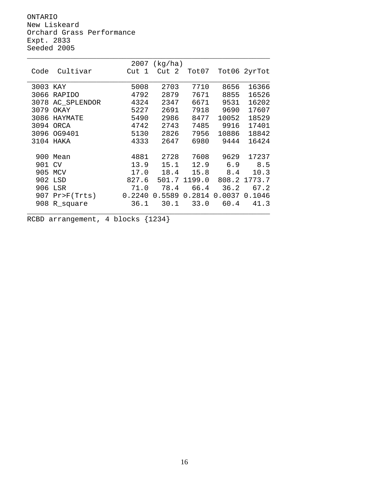ONTARIO New Liskeard Orchard Grass Performance Expt. 2833 Seeded 2005

|          |             | 2007       | (kg/ha)    |        |        |              |
|----------|-------------|------------|------------|--------|--------|--------------|
| Code     | Cultivar    | Cut<br>- 1 | - 2<br>Cut | Tot07  |        | Tot06 2yrTot |
|          |             |            |            |        |        |              |
| 3003 KAY |             | 5008       | 2703       | 7710   | 8656   | 16366        |
| 3066     | RAPIDO      | 4792       | 2879       | 7671   | 8855   | 16526        |
| 3078     | AC SPLENDOR | 4324       | 2347       | 6671   | 9531   | 16202        |
| 3079     | OKAY        | 5227       | 2691       | 7918   | 9690   | 17607        |
| 3086     | HAYMATE     | 5490       | 2986       | 8477   | 10052  | 18529        |
| 3094     | ORCA        | 4742       | 2743       | 7485   | 9916   | 17401        |
| 3096     | OG9401      | 5130       | 2826       | 7956   | 10886  | 18842        |
| 3104     | HAKA        | 4333       | 2647       | 6980   | 9444   | 16424        |
|          |             |            |            |        |        |              |
| 900      | Mean        | 4881       | 2728       | 7608   | 9629   | 17237        |
| 901      | <b>CV</b>   | 13.9       | 15.1       | 12.9   | 6.9    | 8.5          |
| 905      | MCV         | 17.0       | 18.4       | 15.8   | 8.4    | 10.3         |
| 902      | LSD         | 827.6      | 501.7      | 1199.0 | 808.2  | 1773.7       |
| 906      | LSR         | 71.0       | 78.4       | 66.4   | 36.2   | 67.2         |
| 907      | Pr>F(Trts)  | 0.2240     | 0.5589     | 0.2814 | 0.0037 | 0.1046       |
| 908      | R_square    | 36.1       | 30.1       | 33.0   | 60.4   | 41.3         |
|          |             |            |            |        |        |              |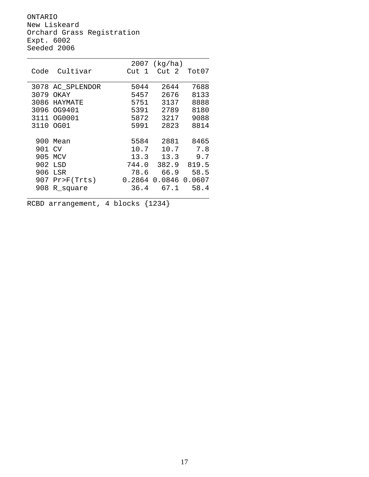ONTARIO New Liskeard Orchard Grass Registration Expt. 6002 Seeded 2006

|      |                | 2007       | (kg/ha) |        |
|------|----------------|------------|---------|--------|
| Code | Cultivar       | Cut<br>- 1 | Cut 2   | Tot07  |
|      |                |            |         |        |
| 3078 | AC_SPLENDOR    | 5044       | 2644    | 7688   |
| 3079 | OKAY           | 5457       | 2676    | 8133   |
| 3086 | HAYMATE        | 5751       | 3137    | 8888   |
| 3096 | OG9401         | 5391       | 2789    | 8180   |
| 3111 | OG0001         | 5872       | 3217    | 9088   |
| 3110 | OG01           | 5991       | 2823    | 8814   |
|      |                |            |         |        |
| 900  | Mean           | 5584       | 2881    | 8465   |
| 901  | CV             | 10.7       | 10.7    | 7.8    |
| 905  | MCV            | 13.3       | 13.3    | 9.7    |
| 902  | LSD            | 744.0      | 382.9   | 819.5  |
| 906  | LSR            | 78.6       | 66.9    | 58.5   |
| 907  | $Pr$ $F(Trts)$ | 0.2864     | 0.0846  | 0.0607 |
| 908  | R_square       | 36.4       | 67.1    | 58.4   |
|      |                |            |         |        |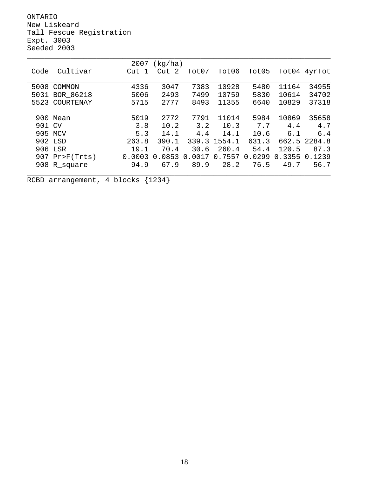ONTARIO New Liskeard Tall Fescue Registration Expt. 3003 Seeded 2003

|        |                  | 2007   | (kq/ha)           |                  |        |        |        |              |
|--------|------------------|--------|-------------------|------------------|--------|--------|--------|--------------|
| Code   | Cultivar         | Cut 1  | Cut 2             | Tot07            | Tot06  | Tot05  | Tot04  | 4yrTot       |
|        |                  |        |                   |                  |        |        |        |              |
| 5008   | COMMON           | 4336   | 3047              | 7383             | 10928  | 5480   | 11164  | 34955        |
|        | 5031 BOR_86218   | 5006   | 2493              | 7499             | 10759  | 5830   | 10614  | 34702        |
| 5523   | COURTENAY        | 5715   | 2777              | 8493             | 11355  | 6640   | 10829  | 37318        |
|        |                  |        |                   |                  |        |        |        |              |
|        | 900 Mean         | 5019   | 2772              | 7791             | 11014  | 5984   | 10869  | 35658        |
| 901 CV |                  | 3.8    | 10.2              | 3.2              | 10.3   | 7.7    | 4.4    | 4.7          |
|        | 905 MCV          | 5.3    | 14.1              | 4.4              | 14.1   | 10.6   | 6.1    | 6.4          |
|        | 902 LSD          | 263.8  | 390.1             | 339.3            | 1554.1 | 631.3  |        | 662.5 2284.8 |
|        | 906 LSR          | 19.1   | 70.4              | 30.6             | 260.4  | 54.4   | 120.5  | 87.3         |
|        | $907$ Pr>F(Trts) | 0.0003 | .0853<br>$\Omega$ | 0017<br>$\Omega$ | 0.7557 | 0.0299 | 0.3355 | 0.1239       |
|        | 908 R_square     | 94.9   | 67.9              | 89.9             | 28.2   | 76.5   | 49.7   | 56.7         |
|        |                  |        |                   |                  |        |        |        |              |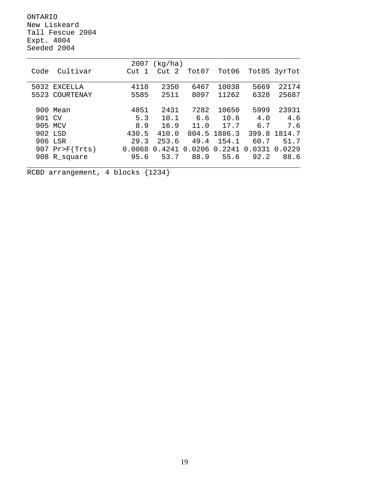ONTARIO New Liskeard Tall Fescue 2004 Expt. 4004 Seeded 2004

|        |            | 2007   | (kq/ha) |        |        |        |              |
|--------|------------|--------|---------|--------|--------|--------|--------------|
| Code   | Cultivar   | Cut 1  | Cut 2   | Tot07  | Tot06  |        | Tot05 3yrTot |
|        |            |        |         |        |        |        |              |
| 5032   | EXCELLA    | 4118   | 2350    | 6467   | 10038  | 5669   | 22174        |
| 5523   | COURTENAY  | 5585   | 2511    | 8097   | 11262  | 6328   | 25687        |
|        |            |        |         |        |        |        |              |
| 900    | Mean       | 4851   | 2431    | 7282   | 10650  | 5999   | 23931        |
| 901 CV |            | 5.3    | 10.1    | 6.6    | 10.6   | 4.0    | 4.6          |
| 905    | MCV        | 8.9    | 16.9    | 11.0   | 17.7   | 6.7    | 7.6          |
|        | 902 LSD    | 430.5  | 410.0   | 804.5  | 1886.3 | 399.8  | 1814.7       |
|        | 906 LSR    | 29.3   | 253.6   | 49.4   | 154.1  | 60.7   | 51.7         |
| 907    | Pr>F(Trts) | 0.0068 | 0.4241  | 0.0206 | 0.2241 | 0.0331 | 0.0229       |
| 908    | R_square   | 95.6   | 53.7    | 88.9   | 55.6   | 92.2   | 88.6         |
|        |            |        |         |        |        |        |              |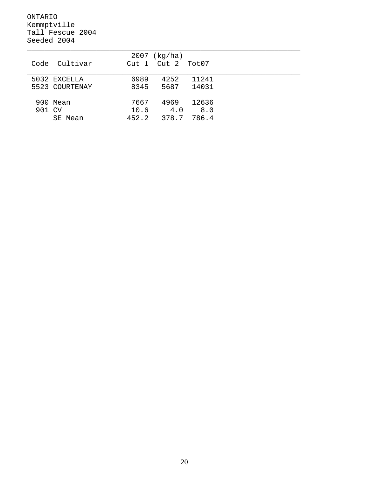ONTARIO Kemmptville Tall Fescue 2004 Seeded 2004

|                  |                  | $2007$ (kg/ha) |       |  |
|------------------|------------------|----------------|-------|--|
| Cultivar<br>Code | Cut <sub>1</sub> | Cut 2 Tot07    |       |  |
|                  |                  |                |       |  |
| 5032 EXCELLA     | 6989             | 4252           | 11241 |  |
| 5523 COURTENAY   | 8345             | 5687           | 14031 |  |
|                  |                  |                |       |  |
| 900 Mean         | 7667             | 4969           | 12636 |  |
| 901 CV           | 10.6             | 4.0            | 8.0   |  |
| SE Mean          | 452.2            | 378.7          | 786.4 |  |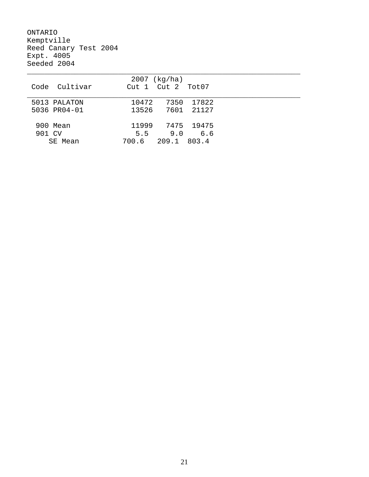ONTARIO Kemptville Reed Canary Test 2004 Expt. 4005 Seeded 2004

|               | $2007$ (kg/ha)          |
|---------------|-------------------------|
| Code Cultivar | Cut 2 Tot07<br>Cut 1    |
|               |                         |
| 5013 PALATON  | 17822<br>7350<br>10472  |
| 5036 PR04-01  | 21127<br>13526<br>7601  |
|               |                         |
| 900 Mean      | 11999<br>7475 19475     |
| 901 CV        | 5.5<br>9.0<br>6.6       |
| SE Mean       | 209.1<br>803.4<br>700.6 |
|               |                         |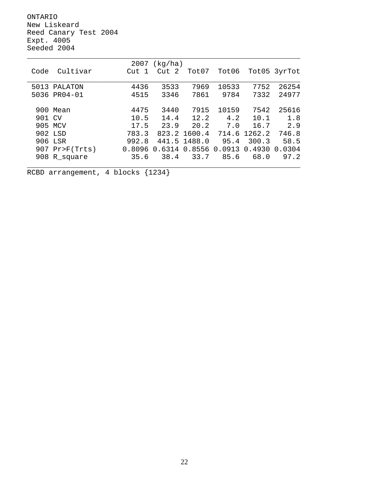ONTARIO New Liskeard Reed Canary Test 2004 Expt. 4005 Seeded 2004

|        |              | 2007   | (kq/ha) |        |        |        |              |
|--------|--------------|--------|---------|--------|--------|--------|--------------|
| Code   | Cultivar     | Cut 1  | Cut 2   | Tot07  | Tot06  |        | Tot05 3yrTot |
|        |              |        |         |        |        |        |              |
|        | 5013 PALATON | 4436   | 3533    | 7969   | 10533  | 7752   | 26254        |
|        | 5036 PR04-01 | 4515   | 3346    | 7861   | 9784   | 7332   | 24977        |
|        |              |        |         |        |        |        |              |
| 900    | Mean         | 4475   | 3440    | 7915   | 10159  | 7542   | 25616        |
| 901 CV |              | 10.5   | 14.4    | 12.2   | 4.2    | 10.1   | 1.8          |
|        | 905 MCV      | 17.5   | 23.9    | 20.2   | 7.0    | 16.7   | 2.9          |
|        | 902 LSD      | 783.3  | 823.2   | 1600.4 | 714.6  | 1262.2 | 746.8        |
|        | 906 LSR      | 992.8  | 441.5   | 1488.0 | 95.4   | 300.3  | 58.5         |
| 907    | Pr>F(Trts)   | 0.8096 | 0.6314  | 0.8556 | 0.0913 | 0.4930 | 0.0304       |
| 908    | R_square     | 35.6   | 38.4    | 33.7   | 85.6   | 68.0   | 97.2         |
|        |              |        |         |        |        |        |              |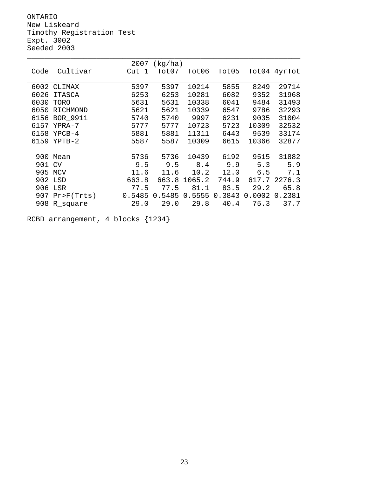ONTARIO New Liskeard Timothy Registration Test Expt. 3002 Seeded 2003

|      |               | 2007   | (kg/ha) |        |        |        |              |
|------|---------------|--------|---------|--------|--------|--------|--------------|
| Code | Cultivar      | Cut 1  | Tot07   | Tot06  | Tot05  |        | Tot04 4yrTot |
|      |               |        |         |        |        |        |              |
| 6002 | CLIMAX        | 5397   | 5397    | 10214  | 5855   | 8249   | 29714        |
| 6026 | <b>ITASCA</b> | 6253   | 6253    | 10281  | 6082   | 9352   | 31968        |
| 6030 | TORO          | 5631   | 5631    | 10338  | 6041   | 9484   | 31493        |
| 6050 | RICHMOND      | 5621   | 5621    | 10339  | 6547   | 9786   | 32293        |
| 6156 | BOR 9911      | 5740   | 5740    | 9997   | 6231   | 9035   | 31004        |
| 6157 | YPRA-7        | 5777   | 5777    | 10723  | 5723   | 10309  | 32532        |
| 6158 | $YPCB-4$      | 5881   | 5881    | 11311  | 6443   | 9539   | 33174        |
| 6159 | $YPTB-2$      | 5587   | 5587    | 10309  | 6615   | 10366  | 32877        |
|      |               |        |         |        |        |        |              |
| 900  | Mean          | 5736   | 5736    | 10439  | 6192   | 9515   | 31882        |
| 901  | CV            | 9.5    | 9.5     | 8.4    | 9.9    | 5.3    | 5.9          |
| 905  | MCV           | 11.6   | 11.6    | 10.2   | 12.0   | 6.5    | 7.1          |
| 902  | LSD           | 663.8  | 663.8   | 1065.2 | 744.9  | 617.7  | 2276.3       |
| 906  | LSR           | 77.5   | 77.5    | 81.1   | 83.5   | 29.2   | 65.8         |
| 907  | Pr > F(Trts)  | 0.5485 | 0.5485  | 0.5555 | 0.3843 | 0.0002 | 0.2381       |
| 908  | R_square      | 29.0   | 29.0    | 29.8   | 40.4   | 75.3   | 37.7         |
|      |               |        |         |        |        |        |              |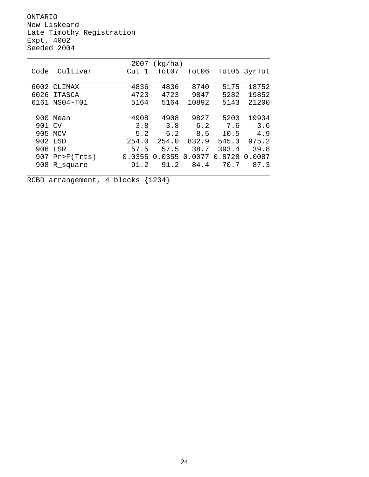ONTARIO New Liskeard Late Timothy Registration Expt. 4002 Seeded 2004

|        |                  | 2007   | (kg/ha) |        |        |              |
|--------|------------------|--------|---------|--------|--------|--------------|
| Code   | Cultivar         | Cut 1  | Tot07   | Tot06  |        | Tot05 3yrTot |
|        |                  |        |         |        |        |              |
| 6002   | CLIMAX           | 4836   | 4836    | 8740   | 5175   | 18752        |
| 6026   | ITASCA           | 4723   | 4723    | 9847   | 5282   | 19852        |
| 6161   | NS04-T01         | 5164   | 5164    | 10892  | 5143   | 21200        |
|        |                  |        |         |        |        |              |
|        | 900 Mean         | 4908   | 4908    | 9827   | 5200   | 19934        |
| 901 CV |                  | 3.8    | 3.8     | 6.2    | 7.6    | 3.6          |
| 905    | MCV              | 5.2    | 5.2     | 8.5    | 10.5   | 4.9          |
|        | 902 LSD          | 254.0  | 254.0   | 832.9  | 545.3  | 975.2        |
| 906    | LSR              | 57.5   | 57.5    | 38.7   | 393.4  | 39.8         |
|        | $907$ Pr>F(Trts) | 0.0355 | 0.0355  | 0.0077 | 0.8728 | 0.0087       |
|        | 908 R_square     | 91.2   | 91.2    | 84.4   | 70.7   | 87.3         |
|        |                  |        |         |        |        |              |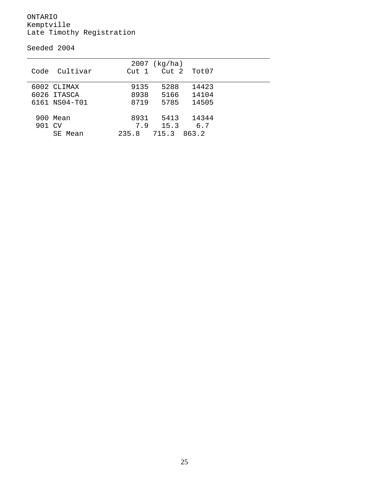#### ONTARIO Kemptville Late Timothy Registration

Seeded 2004

| Code          | Cultivar                                    | 2007<br>Cut 1        | (kg/ha)               | Cut 2 Tot07             |  |
|---------------|---------------------------------------------|----------------------|-----------------------|-------------------------|--|
|               | 6002 CLIMAX<br>6026 ITASCA<br>6161 NS04-T01 | 9135<br>8938<br>8719 | 5288<br>5166<br>5785  | 14423<br>14104<br>14505 |  |
| 900<br>901 CV | Mean<br>SE Mean                             | 8931<br>7.9<br>235.8 | 5413<br>15.3<br>715.3 | 14344<br>6.7<br>863.2   |  |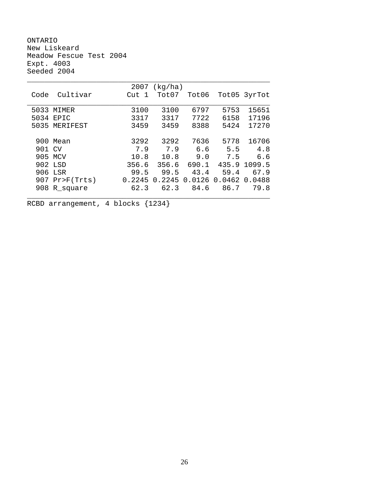ONTARIO New Liskeard Meadow Fescue Test 2004 Expt. 4003 Seeded 2004

|        |                  | 2007   | (kq/ha) |        |        |              |
|--------|------------------|--------|---------|--------|--------|--------------|
| Code   | Cultivar         | Cut 1  | Tot07   | Tot06  |        | Tot05 3yrTot |
|        |                  |        |         |        |        |              |
| 5033   | MIMER            | 3100   | 3100    | 6797   | 5753   | 15651        |
| 5034   | <b>EPTC</b>      | 3317   | 3317    | 7722   | 6158   | 17196        |
| 5035   | MERIFEST         | 3459   | 3459    | 8388   | 5424   | 17270        |
|        |                  |        |         |        |        |              |
|        | 900 Mean         | 3292   | 3292    | 7636   | 5778   | 16706        |
| 901 CV |                  | 7.9    | 7.9     | 6.6    | 5.5    | 4.8          |
|        | 905 MCV          | 10.8   | 10.8    | 9.0    | 7.5    | 6.6          |
|        | 902 LSD          | 356.6  | 356.6   | 690.1  | 435.9  | 1099.5       |
|        | 906 LSR          | 99.5   | 99.5    | 43.4   | 59.4   | 67.9         |
|        | $907$ Pr>F(Trts) | 0.2245 | 0.2245  | 0.0126 | 0.0462 | 0.0488       |
| 908    | R_square         | 62.3   | 62.3    | 84.6   | 86.7   | 79.8         |
|        |                  |        |         |        |        |              |